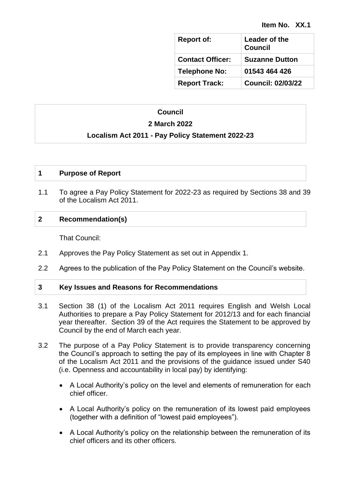| <b>Report of:</b>       | Leader of the<br><b>Council</b> |
|-------------------------|---------------------------------|
| <b>Contact Officer:</b> | <b>Suzanne Dutton</b>           |
| <b>Telephone No:</b>    | 01543 464 426                   |
| <b>Report Track:</b>    | <b>Council: 02/03/22</b>        |

# **Council**

# **2 March 2022**

# **Localism Act 2011 - Pay Policy Statement 2022-23**

# **1 Purpose of Report**

1.1 To agree a Pay Policy Statement for 2022-23 as required by Sections 38 and 39 of the Localism Act 2011.

# **2 Recommendation(s)**

That Council:

- 2.1 Approves the Pay Policy Statement as set out in Appendix 1.
- 2.2 Agrees to the publication of the Pay Policy Statement on the Council's website.

# **3 Key Issues and Reasons for Recommendations**

- 3.1 Section 38 (1) of the Localism Act 2011 requires English and Welsh Local Authorities to prepare a Pay Policy Statement for 2012/13 and for each financial year thereafter. Section 39 of the Act requires the Statement to be approved by Council by the end of March each year.
- 3.2 The purpose of a Pay Policy Statement is to provide transparency concerning the Council's approach to setting the pay of its employees in line with Chapter 8 of the Localism Act 2011 and the provisions of the guidance issued under S40 (i.e. Openness and accountability in local pay) by identifying:
	- A Local Authority's policy on the level and elements of remuneration for each chief officer.
	- A Local Authority's policy on the remuneration of its lowest paid employees (together with a definition of "lowest paid employees").
	- A Local Authority's policy on the relationship between the remuneration of its chief officers and its other officers.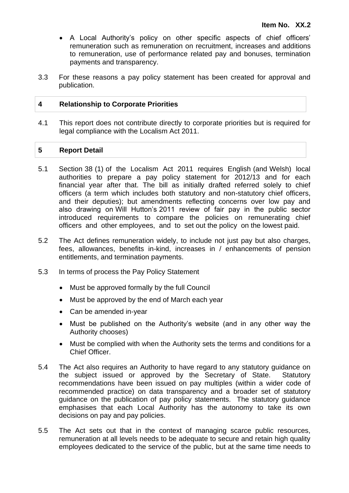- A Local Authority's policy on other specific aspects of chief officers' remuneration such as remuneration on recruitment, increases and additions to remuneration, use of performance related pay and bonuses, termination payments and transparency.
- 3.3 For these reasons a pay policy statement has been created for approval and publication.

# **4 Relationship to Corporate Priorities**

4.1 This report does not contribute directly to corporate priorities but is required for legal compliance with the Localism Act 2011.

# **5 Report Detail**

- 5.1 Section 38 (1) of the Localism Act 2011 requires English (and Welsh) local authorities to prepare a pay policy statement for 2012/13 and for each financial year after that. The bill as initially drafted referred solely to chief officers (a term which includes both statutory and non-statutory chief officers, and their deputies); but amendments reflecting concerns over low pay and also drawing on Will Hutton's 2011 review of fair pay in the public sector introduced requirements to compare the policies on remunerating chief officers and other employees, and to set out the policy on the lowest paid.
- 5.2 The Act defines remuneration widely, to include not just pay but also charges, fees, allowances, benefits in-kind, increases in / enhancements of pension entitlements, and termination payments.
- 5.3 In terms of process the Pay Policy Statement
	- Must be approved formally by the full Council
	- Must be approved by the end of March each year
	- Can be amended in-year
	- Must be published on the Authority's website (and in any other way the Authority chooses)
	- Must be complied with when the Authority sets the terms and conditions for a Chief Officer.
- 5.4 The Act also requires an Authority to have regard to any statutory guidance on the subject issued or approved by the Secretary of State. Statutory recommendations have been issued on pay multiples (within a wider code of recommended practice) on data transparency and a broader set of statutory guidance on the publication of pay policy statements. The statutory guidance emphasises that each Local Authority has the autonomy to take its own decisions on pay and pay policies.
- 5.5 The Act sets out that in the context of managing scarce public resources, remuneration at all levels needs to be adequate to secure and retain high quality employees dedicated to the service of the public, but at the same time needs to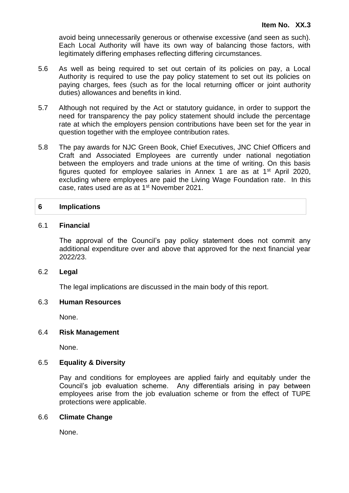avoid being unnecessarily generous or otherwise excessive (and seen as such). Each Local Authority will have its own way of balancing those factors, with legitimately differing emphases reflecting differing circumstances.

- 5.6 As well as being required to set out certain of its policies on pay, a Local Authority is required to use the pay policy statement to set out its policies on paying charges, fees (such as for the local returning officer or joint authority duties) allowances and benefits in kind.
- 5.7 Although not required by the Act or statutory guidance, in order to support the need for transparency the pay policy statement should include the percentage rate at which the employers pension contributions have been set for the year in question together with the employee contribution rates.
- 5.8 The pay awards for NJC Green Book, Chief Executives, JNC Chief Officers and Craft and Associated Employees are currently under national negotiation between the employers and trade unions at the time of writing. On this basis figures quoted for employee salaries in Annex 1 are as at 1st April 2020, excluding where employees are paid the Living Wage Foundation rate. In this case, rates used are as at 1st November 2021.

# **6 Implications**

#### 6.1 **Financial**

The approval of the Council's pay policy statement does not commit any additional expenditure over and above that approved for the next financial year 2022/23.

#### 6.2 **Legal**

The legal implications are discussed in the main body of this report.

#### 6.3 **Human Resources**

None.

#### 6.4 **Risk Management**

None.

## 6.5 **Equality & Diversity**

Pay and conditions for employees are applied fairly and equitably under the Council's job evaluation scheme. Any differentials arising in pay between employees arise from the job evaluation scheme or from the effect of TUPE protections were applicable.

#### 6.6 **Climate Change**

None.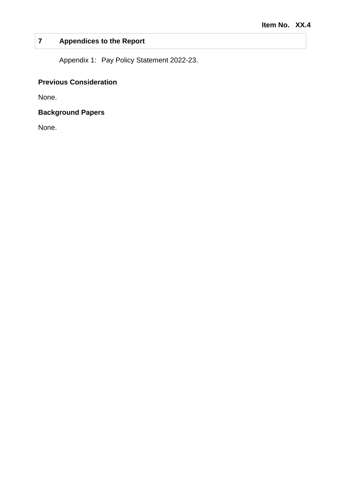# **7 Appendices to the Report**

Appendix 1: Pay Policy Statement 2022-23.

# **Previous Consideration**

None.

# **Background Papers**

None.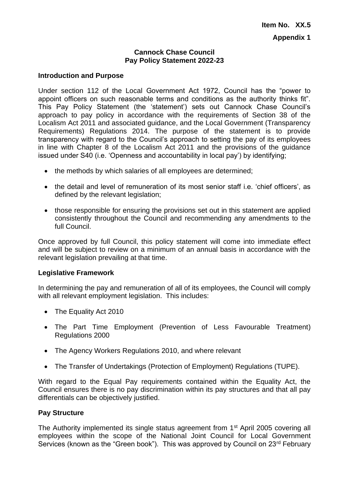## **Cannock Chase Council Pay Policy Statement 2022-23**

### **Introduction and Purpose**

Under section 112 of the Local Government Act 1972, Council has the "power to appoint officers on such reasonable terms and conditions as the authority thinks fit". This Pay Policy Statement (the 'statement') sets out Cannock Chase Council's approach to pay policy in accordance with the requirements of Section 38 of the Localism Act 2011 and associated guidance, and the Local Government (Transparency Requirements) Regulations 2014. The purpose of the statement is to provide transparency with regard to the Council's approach to setting the pay of its employees in line with Chapter 8 of the Localism Act 2011 and the provisions of the guidance issued under S40 (i.e. 'Openness and accountability in local pay') by identifying;

- the methods by which salaries of all employees are determined;
- the detail and level of remuneration of its most senior staff i.e. 'chief officers', as defined by the relevant legislation;
- those responsible for ensuring the provisions set out in this statement are applied consistently throughout the Council and recommending any amendments to the full Council.

Once approved by full Council, this policy statement will come into immediate effect and will be subject to review on a minimum of an annual basis in accordance with the relevant legislation prevailing at that time.

#### **Legislative Framework**

In determining the pay and remuneration of all of its employees, the Council will comply with all relevant employment legislation. This includes:

- The Equality Act 2010
- The Part Time Employment (Prevention of Less Favourable Treatment) Regulations 2000
- The Agency Workers Regulations 2010, and where relevant
- The Transfer of Undertakings (Protection of Employment) Regulations (TUPE).

With regard to the Equal Pay requirements contained within the Equality Act, the Council ensures there is no pay discrimination within its pay structures and that all pay differentials can be objectively justified.

# **Pay Structure**

The Authority implemented its single status agreement from 1<sup>st</sup> April 2005 covering all employees within the scope of the National Joint Council for Local Government Services (known as the "Green book"). This was approved by Council on 23<sup>rd</sup> February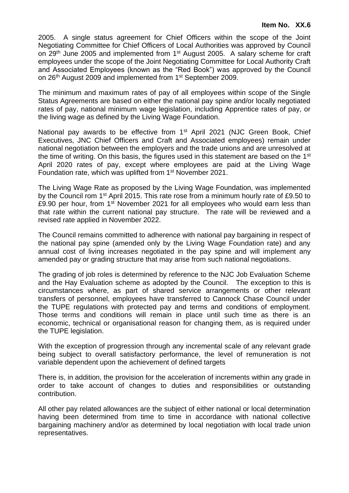2005. A single status agreement for Chief Officers within the scope of the Joint Negotiating Committee for Chief Officers of Local Authorities was approved by Council on 29<sup>th</sup> June 2005 and implemented from 1<sup>st</sup> August 2005. A salary scheme for craft employees under the scope of the Joint Negotiating Committee for Local Authority Craft and Associated Employees (known as the "Red Book") was approved by the Council on 26<sup>th</sup> August 2009 and implemented from 1<sup>st</sup> September 2009.

The minimum and maximum rates of pay of all employees within scope of the Single Status Agreements are based on either the national pay spine and/or locally negotiated rates of pay, national minimum wage legislation, including Apprentice rates of pay, or the living wage as defined by the Living Wage Foundation.

National pay awards to be effective from 1<sup>st</sup> April 2021 (NJC Green Book, Chief Executives, JNC Chief Officers and Craft and Associated employees) remain under national negotiation between the employers and the trade unions and are unresolved at the time of writing. On this basis, the figures used in this statement are based on the 1<sup>st</sup> April 2020 rates of pay, except where employees are paid at the Living Wage Foundation rate, which was uplifted from 1<sup>st</sup> November 2021.

The Living Wage Rate as proposed by the Living Wage Foundation, was implemented by the Council rom 1st April 2015. This rate rose from a minimum hourly rate of £9.50 to £9.90 per hour, from  $1<sup>st</sup>$  November 2021 for all employees who would earn less than that rate within the current national pay structure. The rate will be reviewed and a revised rate applied in November 2022.

The Council remains committed to adherence with national pay bargaining in respect of the national pay spine (amended only by the Living Wage Foundation rate) and any annual cost of living increases negotiated in the pay spine and will implement any amended pay or grading structure that may arise from such national negotiations.

The grading of job roles is determined by reference to the NJC Job Evaluation Scheme and the Hay Evaluation scheme as adopted by the Council. The exception to this is circumstances where, as part of shared service arrangements or other relevant transfers of personnel, employees have transferred to Cannock Chase Council under the TUPE regulations with protected pay and terms and conditions of employment. Those terms and conditions will remain in place until such time as there is an economic, technical or organisational reason for changing them, as is required under the TUPE legislation.

With the exception of progression through any incremental scale of any relevant grade being subject to overall satisfactory performance, the level of remuneration is not variable dependent upon the achievement of defined targets

There is, in addition, the provision for the acceleration of increments within any grade in order to take account of changes to duties and responsibilities or outstanding contribution.

All other pay related allowances are the subject of either national or local determination having been determined from time to time in accordance with national collective bargaining machinery and/or as determined by local negotiation with local trade union representatives.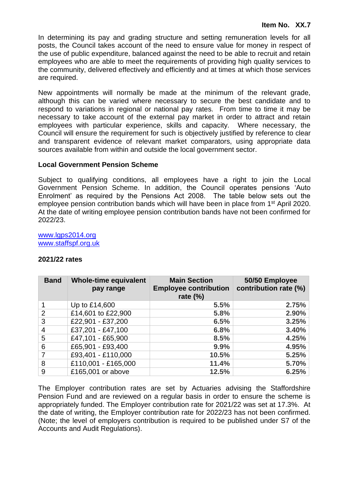In determining its pay and grading structure and setting remuneration levels for all posts, the Council takes account of the need to ensure value for money in respect of the use of public expenditure, balanced against the need to be able to recruit and retain employees who are able to meet the requirements of providing high quality services to the community, delivered effectively and efficiently and at times at which those services are required.

New appointments will normally be made at the minimum of the relevant grade, although this can be varied where necessary to secure the best candidate and to respond to variations in regional or national pay rates. From time to time it may be necessary to take account of the external pay market in order to attract and retain employees with particular experience, skills and capacity. Where necessary, the Council will ensure the requirement for such is objectively justified by reference to clear and transparent evidence of relevant market comparators, using appropriate data sources available from within and outside the local government sector.

# **Local Government Pension Scheme**

Subject to qualifying conditions, all employees have a right to join the Local Government Pension Scheme. In addition, the Council operates pensions 'Auto Enrolment' as required by the Pensions Act 2008. The table below sets out the employee pension contribution bands which will have been in place from 1<sup>st</sup> April 2020. At the date of writing employee pension contribution bands have not been confirmed for 2022/23.

[www.lgps2014.org](http://www.lgps2014.org/) [www.staffspf.org.uk](http://www.staffspf.org.uk/)

# **2021/22 rates**

| <b>Band</b>    | <b>Whole-time equivalent</b><br>pay range | <b>Main Section</b><br><b>Employee contribution</b><br>rate $(\%)$ | 50/50 Employee<br>contribution rate (%) |
|----------------|-------------------------------------------|--------------------------------------------------------------------|-----------------------------------------|
|                | Up to £14,600                             | 5.5%                                                               | 2.75%                                   |
| $\overline{2}$ | £14,601 to £22,900                        | 5.8%                                                               | 2.90%                                   |
| 3              | £22,901 - £37,200                         | 6.5%                                                               | 3.25%                                   |
| 4              | £37,201 - £47,100                         | 6.8%                                                               | 3.40%                                   |
| 5              | £47,101 - £65,900                         | 8.5%                                                               | 4.25%                                   |
| 6              | £65,901 - £93,400                         | 9.9%                                                               | 4.95%                                   |
| 7              | £93,401 - £110,000                        | 10.5%                                                              | 5.25%                                   |
| 8              | £110,001 - £165,000                       | 11.4%                                                              | 5.70%                                   |
| 9              | £165,001 or above                         | 12.5%                                                              | 6.25%                                   |

The Employer contribution rates are set by Actuaries advising the Staffordshire Pension Fund and are reviewed on a regular basis in order to ensure the scheme is appropriately funded. The Employer contribution rate for 2021/22 was set at 17.3%. At the date of writing, the Employer contribution rate for 2022/23 has not been confirmed. (Note; the level of employers contribution is required to be published under S7 of the Accounts and Audit Regulations).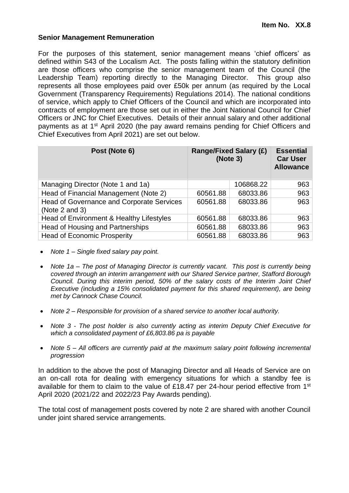### **Senior Management Remuneration**

For the purposes of this statement, senior management means 'chief officers' as defined within S43 of the Localism Act. The posts falling within the statutory definition are those officers who comprise the senior management team of the Council (the Leadership Team) reporting directly to the Managing Director. This group also represents all those employees paid over £50k per annum (as required by the Local Government (Transparency Requirements) Regulations 2014). The national conditions of service, which apply to Chief Officers of the Council and which are incorporated into contracts of employment are those set out in either the Joint National Council for Chief Officers or JNC for Chief Executives. Details of their annual salary and other additional payments as at 1<sup>st</sup> April 2020 (the pay award remains pending for Chief Officers and Chief Executives from April 2021) are set out below.

| Post (Note 6)                                               | <b>Range/Fixed Salary (£)</b><br>(Note 3) |           | <b>Essential</b><br><b>Car User</b><br><b>Allowance</b> |
|-------------------------------------------------------------|-------------------------------------------|-----------|---------------------------------------------------------|
| Managing Director (Note 1 and 1a)                           |                                           | 106868.22 | 963                                                     |
| Head of Financial Management (Note 2)                       | 60561.88                                  | 68033.86  | 963                                                     |
| Head of Governance and Corporate Services<br>(Note 2 and 3) | 60561.88                                  | 68033.86  | 963                                                     |
| Head of Environment & Healthy Lifestyles                    | 60561.88                                  | 68033.86  | 963                                                     |
| Head of Housing and Partnerships                            | 60561.88                                  | 68033.86  | 963                                                     |
| <b>Head of Economic Prosperity</b>                          | 60561.88                                  | 68033.86  | 963                                                     |

- *Note 1 – Single fixed salary pay point.*
- *Note 1a – The post of Managing Director is currently vacant. This post is currently being covered through an interim arrangement with our Shared Service partner, Stafford Borough Council. During this interim period, 50% of the salary costs of the Interim Joint Chief Executive (including a 15% consolidated payment for this shared requirement), are being met by Cannock Chase Council.*
- *Note 2 – Responsible for provision of a shared service to another local authority.*
- *Note 3 - The post holder is also currently acting as interim Deputy Chief Executive for which a consolidated payment of £6,803.86 pa is payable*
- *Note 5 – All officers are currently paid at the maximum salary point following incremental progression*

In addition to the above the post of Managing Director and all Heads of Service are on an on-call rota for dealing with emergency situations for which a standby fee is available for them to claim to the value of £18.47 per 24-hour period effective from 1<sup>st</sup> April 2020 (2021/22 and 2022/23 Pay Awards pending).

The total cost of management posts covered by note 2 are shared with another Council under joint shared service arrangements.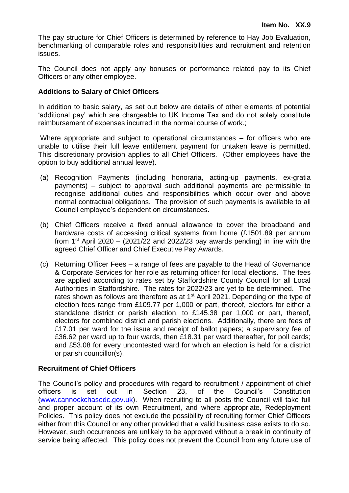The pay structure for Chief Officers is determined by reference to Hay Job Evaluation, benchmarking of comparable roles and responsibilities and recruitment and retention issues.

The Council does not apply any bonuses or performance related pay to its Chief Officers or any other employee.

### **Additions to Salary of Chief Officers**

In addition to basic salary, as set out below are details of other elements of potential 'additional pay' which are chargeable to UK Income Tax and do not solely constitute reimbursement of expenses incurred in the normal course of work.;

Where appropriate and subject to operational circumstances – for officers who are unable to utilise their full leave entitlement payment for untaken leave is permitted. This discretionary provision applies to all Chief Officers. (Other employees have the option to buy additional annual leave).

- (a) Recognition Payments (including honoraria, acting-up payments, ex-gratia payments) – subject to approval such additional payments are permissible to recognise additional duties and responsibilities which occur over and above normal contractual obligations. The provision of such payments is available to all Council employee's dependent on circumstances.
- (b) Chief Officers receive a fixed annual allowance to cover the broadband and hardware costs of accessing critical systems from home (£1501.89 per annum from  $1<sup>st</sup>$  April 2020 – (2021/22 and 2022/23 pay awards pending) in line with the agreed Chief Officer and Chief Executive Pay Awards.
- (c) Returning Officer Fees a range of fees are payable to the Head of Governance & Corporate Services for her role as returning officer for local elections. The fees are applied according to rates set by Staffordshire County Council for all Local Authorities in Staffordshire. The rates for 2022/23 are yet to be determined. The rates shown as follows are therefore as at  $1<sup>st</sup>$  April 2021. Depending on the type of election fees range from £109.77 per 1,000 or part, thereof, electors for either a standalone district or parish election, to £145.38 per 1,000 or part, thereof, electors for combined district and parish elections. Additionally, there are fees of £17.01 per ward for the issue and receipt of ballot papers; a supervisory fee of £36.62 per ward up to four wards, then £18.31 per ward thereafter, for poll cards; and £53.08 for every uncontested ward for which an election is held for a district or parish councillor(s).

# **Recruitment of Chief Officers**

The Council's policy and procedures with regard to recruitment / appointment of chief officers is set out in Section 23, of the Council's Constitution [\(www.cannockchasedc.gov.uk\)](http://www.cannockchasedc.gov.uk/). When recruiting to all posts the Council will take full and proper account of its own Recruitment, and where appropriate, Redeployment Policies. This policy does not exclude the possibility of recruiting former Chief Officers either from this Council or any other provided that a valid business case exists to do so. However, such occurrences are unlikely to be approved without a break in continuity of service being affected. This policy does not prevent the Council from any future use of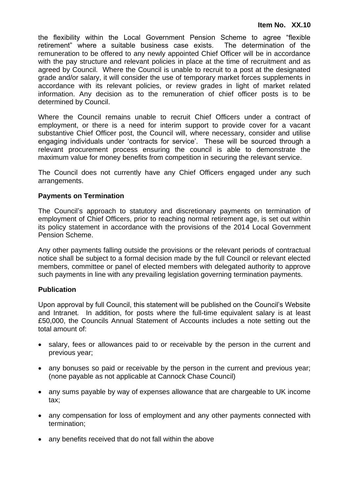the flexibility within the Local Government Pension Scheme to agree "flexible retirement" where a suitable business case exists. The determination of the remuneration to be offered to any newly appointed Chief Officer will be in accordance with the pay structure and relevant policies in place at the time of recruitment and as agreed by Council. Where the Council is unable to recruit to a post at the designated grade and/or salary, it will consider the use of temporary market forces supplements in accordance with its relevant policies, or review grades in light of market related information. Any decision as to the remuneration of chief officer posts is to be determined by Council.

Where the Council remains unable to recruit Chief Officers under a contract of employment, or there is a need for interim support to provide cover for a vacant substantive Chief Officer post, the Council will, where necessary, consider and utilise engaging individuals under 'contracts for service'. These will be sourced through a relevant procurement process ensuring the council is able to demonstrate the maximum value for money benefits from competition in securing the relevant service.

The Council does not currently have any Chief Officers engaged under any such arrangements.

# **Payments on Termination**

The Council's approach to statutory and discretionary payments on termination of employment of Chief Officers, prior to reaching normal retirement age, is set out within its policy statement in accordance with the provisions of the 2014 Local Government Pension Scheme.

Any other payments falling outside the provisions or the relevant periods of contractual notice shall be subject to a formal decision made by the full Council or relevant elected members, committee or panel of elected members with delegated authority to approve such payments in line with any prevailing legislation governing termination payments.

# **Publication**

Upon approval by full Council, this statement will be published on the Council's Website and Intranet*.* In addition, for posts where the full-time equivalent salary is at least £50,000, the Councils Annual Statement of Accounts includes a note setting out the total amount of:

- salary, fees or allowances paid to or receivable by the person in the current and previous year;
- any bonuses so paid or receivable by the person in the current and previous year; (none payable as not applicable at Cannock Chase Council)
- any sums payable by way of expenses allowance that are chargeable to UK income tax;
- any compensation for loss of employment and any other payments connected with termination;
- any benefits received that do not fall within the above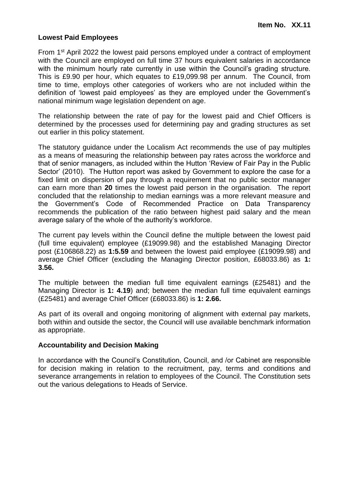## **Lowest Paid Employees**

From 1<sup>st</sup> April 2022 the lowest paid persons employed under a contract of employment with the Council are employed on full time 37 hours equivalent salaries in accordance with the minimum hourly rate currently in use within the Council's grading structure. This is £9.90 per hour, which equates to £19,099.98 per annum. The Council, from time to time, employs other categories of workers who are not included within the definition of 'lowest paid employees' as they are employed under the Government's national minimum wage legislation dependent on age.

The relationship between the rate of pay for the lowest paid and Chief Officers is determined by the processes used for determining pay and grading structures as set out earlier in this policy statement.

The statutory guidance under the Localism Act recommends the use of pay multiples as a means of measuring the relationship between pay rates across the workforce and that of senior managers, as included within the Hutton 'Review of Fair Pay in the Public Sector' (2010). The Hutton report was asked by Government to explore the case for a fixed limit on dispersion of pay through a requirement that no public sector manager can earn more than **20** times the lowest paid person in the organisation. The report concluded that the relationship to median earnings was a more relevant measure and the Government's Code of Recommended Practice on Data Transparency recommends the publication of the ratio between highest paid salary and the mean average salary of the whole of the authority's workforce.

The current pay levels within the Council define the multiple between the lowest paid (full time equivalent) employee (£19099.98) and the established Managing Director post (£106868.22) as **1:5.59** and between the lowest paid employee (£19099.98) and average Chief Officer (excluding the Managing Director position, £68033.86) as **1: 3.56.**

The multiple between the median full time equivalent earnings (£25481) and the Managing Director is **1: 4.19**) and; between the median full time equivalent earnings (£25481) and average Chief Officer (£68033.86) is **1: 2.66.**

As part of its overall and ongoing monitoring of alignment with external pay markets, both within and outside the sector, the Council will use available benchmark information as appropriate.

#### **Accountability and Decision Making**

In accordance with the Council's Constitution, Council, and /or Cabinet are responsible for decision making in relation to the recruitment, pay, terms and conditions and severance arrangements in relation to employees of the Council. The Constitution sets out the various delegations to Heads of Service.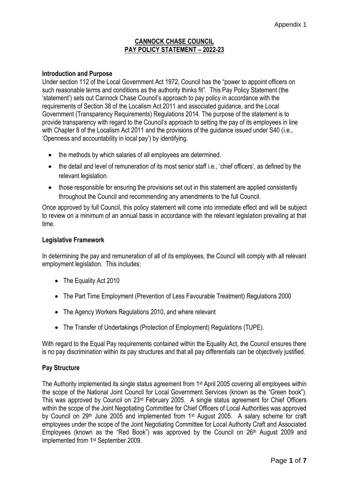### **CANNOCK CHASE COUNCIL PAY POLICY STATEMENT – 2022-23**

#### **Introduction and Purpose**

Under section 112 of the Local Government Act 1972, Council has the "power to appoint officers on such reasonable terms and conditions as the authority thinks fit". This Pay Policy Statement (the 'statement') sets out Cannock Chase Council's approach to pay policy in accordance with the requirements of Section 38 of the Localism Act 2011 and associated guidance, and the Local Government (Transparency Requirements) Regulations 2014. The purpose of the statement is to provide transparency with regard to the Council's approach to setting the pay of its employees in line with Chapter 8 of the Localism Act 2011 and the provisions of the guidance issued under S40 (i.e., 'Openness and accountability in local pay') by identifying.

- the methods by which salaries of all employees are determined.
- the detail and level of remuneration of its most senior staff i.e., 'chief officers', as defined by the relevant legislation.
- those responsible for ensuring the provisions set out in this statement are applied consistently throughout the Council and recommending any amendments to the full Council.

Once approved by full Council, this policy statement will come into immediate effect and will be subject to review on a minimum of an annual basis in accordance with the relevant legislation prevailing at that time.

#### **Legislative Framework**

In determining the pay and remuneration of all of its employees, the Council will comply with all relevant employment legislation. This includes:

- The Equality Act 2010
- The Part Time Employment (Prevention of Less Favourable Treatment) Regulations 2000
- The Agency Workers Regulations 2010, and where relevant
- The Transfer of Undertakings (Protection of Employment) Regulations (TUPE).

With regard to the Equal Pay requirements contained within the Equality Act, the Council ensures there is no pay discrimination within its pay structures and that all pay differentials can be objectively justified.

#### **Pay Structure**

The Authority implemented its single status agreement from 1st April 2005 covering all employees within the scope of the National Joint Council for Local Government Services (known as the "Green book"). This was approved by Council on 23rd February 2005. A single status agreement for Chief Officers within the scope of the Joint Negotiating Committee for Chief Officers of Local Authorities was approved by Council on 29<sup>th</sup> June 2005 and implemented from 1<sup>st</sup> August 2005. A salary scheme for craft employees under the scope of the Joint Negotiating Committee for Local Authority Craft and Associated Employees (known as the "Red Book") was approved by the Council on 26<sup>th</sup> August 2009 and implemented from 1st September 2009.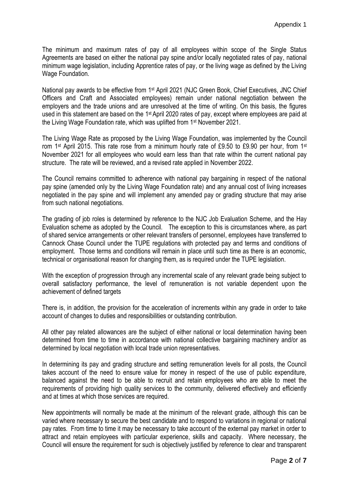The minimum and maximum rates of pay of all employees within scope of the Single Status Agreements are based on either the national pay spine and/or locally negotiated rates of pay, national minimum wage legislation, including Apprentice rates of pay, or the living wage as defined by the Living Wage Foundation.

National pay awards to be effective from 1st April 2021 (NJC Green Book, Chief Executives, JNC Chief Officers and Craft and Associated employees) remain under national negotiation between the employers and the trade unions and are unresolved at the time of writing. On this basis, the figures used in this statement are based on the 1<sup>st</sup> April 2020 rates of pay, except where employees are paid at the Living Wage Foundation rate, which was uplifted from 1st November 2021.

The Living Wage Rate as proposed by the Living Wage Foundation, was implemented by the Council rom 1<sup>st</sup> April 2015. This rate rose from a minimum hourly rate of £9.50 to £9.90 per hour, from 1<sup>st</sup> November 2021 for all employees who would earn less than that rate within the current national pay structure. The rate will be reviewed, and a revised rate applied in November 2022.

The Council remains committed to adherence with national pay bargaining in respect of the national pay spine (amended only by the Living Wage Foundation rate) and any annual cost of living increases negotiated in the pay spine and will implement any amended pay or grading structure that may arise from such national negotiations.

The grading of job roles is determined by reference to the NJC Job Evaluation Scheme, and the Hay Evaluation scheme as adopted by the Council. The exception to this is circumstances where, as part of shared service arrangements or other relevant transfers of personnel, employees have transferred to Cannock Chase Council under the TUPE regulations with protected pay and terms and conditions of employment. Those terms and conditions will remain in place until such time as there is an economic, technical or organisational reason for changing them, as is required under the TUPE legislation.

With the exception of progression through any incremental scale of any relevant grade being subject to overall satisfactory performance, the level of remuneration is not variable dependent upon the achievement of defined targets

There is, in addition, the provision for the acceleration of increments within any grade in order to take account of changes to duties and responsibilities or outstanding contribution.

All other pay related allowances are the subject of either national or local determination having been determined from time to time in accordance with national collective bargaining machinery and/or as determined by local negotiation with local trade union representatives.

In determining its pay and grading structure and setting remuneration levels for all posts, the Council takes account of the need to ensure value for money in respect of the use of public expenditure, balanced against the need to be able to recruit and retain employees who are able to meet the requirements of providing high quality services to the community, delivered effectively and efficiently and at times at which those services are required.

New appointments will normally be made at the minimum of the relevant grade, although this can be varied where necessary to secure the best candidate and to respond to variations in regional or national pay rates. From time to time it may be necessary to take account of the external pay market in order to attract and retain employees with particular experience, skills and capacity. Where necessary, the Council will ensure the requirement for such is objectively justified by reference to clear and transparent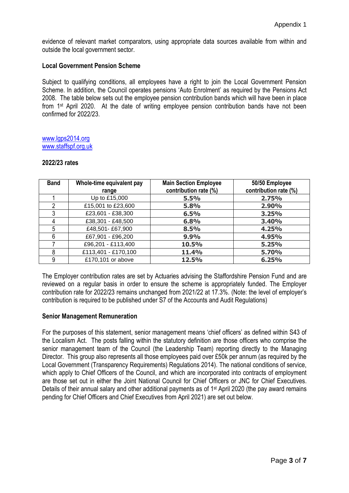evidence of relevant market comparators, using appropriate data sources available from within and outside the local government sector.

#### **Local Government Pension Scheme**

Subject to qualifying conditions, all employees have a right to join the Local Government Pension Scheme. In addition, the Council operates pensions 'Auto Enrolment' as required by the Pensions Act 2008. The table below sets out the employee pension contribution bands which will have been in place from 1st April 2020. At the date of writing employee pension contribution bands have not been confirmed for 2022/23.

#### [www.lgps2014.org](http://www.lgps2014.org/) [www.staffspf.org.uk](http://www.staffspf.org.uk/)

# **2022/23 rates**

| <b>Band</b> | Whole-time equivalent pay | <b>Main Section Employee</b><br>contribution rate (%) | 50/50 Employee<br>contribution rate (%) |
|-------------|---------------------------|-------------------------------------------------------|-----------------------------------------|
|             | range                     |                                                       |                                         |
|             | Up to £15,000             | 5.5%                                                  | 2.75%                                   |
| າ           | £15,001 to £23,600        | 5.8%                                                  | 2.90%                                   |
| 3           | £23,601 - £38,300         | 6.5%                                                  | 3.25%                                   |
|             | £38,301 - £48,500         | 6.8%                                                  | 3.40%                                   |
| 5           | £48,501-£67,900           | 8.5%                                                  | 4.25%                                   |
| 6           | £67,901 - £96,200         | 9.9%                                                  | 4.95%                                   |
|             | £96,201 - £113,400        | 10.5%                                                 | 5.25%                                   |
| 8           | £113,401 - £170,100       | 11.4%                                                 | 5.70%                                   |
| 9           | £170,101 or above         | 12.5%                                                 | 6.25%                                   |

The Employer contribution rates are set by Actuaries advising the Staffordshire Pension Fund and are reviewed on a regular basis in order to ensure the scheme is appropriately funded. The Employer contribution rate for 2022/23 remains unchanged from 2021/22 at 17.3%. (Note: the level of employer's contribution is required to be published under S7 of the Accounts and Audit Regulations)

#### **Senior Management Remuneration**

For the purposes of this statement, senior management means 'chief officers' as defined within S43 of the Localism Act. The posts falling within the statutory definition are those officers who comprise the senior management team of the Council (the Leadership Team) reporting directly to the Managing Director. This group also represents all those employees paid over £50k per annum (as required by the Local Government (Transparency Requirements) Regulations 2014). The national conditions of service, which apply to Chief Officers of the Council, and which are incorporated into contracts of employment are those set out in either the Joint National Council for Chief Officers or JNC for Chief Executives. Details of their annual salary and other additional payments as of 1<sup>st</sup> April 2020 (the pay award remains pending for Chief Officers and Chief Executives from April 2021) are set out below.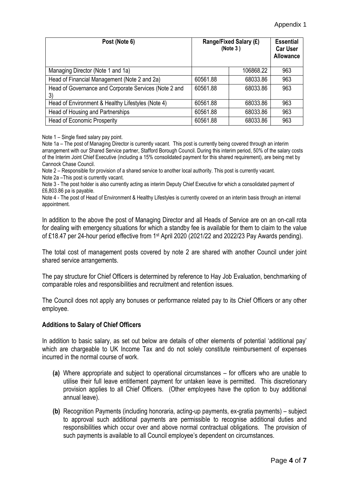| Post (Note 6)                                               | Range/Fixed Salary (£)<br>(Note 3) |           | <b>Essential</b><br><b>Car User</b><br><b>Allowance</b> |
|-------------------------------------------------------------|------------------------------------|-----------|---------------------------------------------------------|
| Managing Director (Note 1 and 1a)                           |                                    | 106868.22 | 963                                                     |
| Head of Financial Management (Note 2 and 2a)                | 60561.88                           | 68033.86  | 963                                                     |
| Head of Governance and Corporate Services (Note 2 and<br>3) | 60561.88                           | 68033.86  | 963                                                     |
| Head of Environment & Healthy Lifestyles (Note 4)           | 60561.88                           | 68033.86  | 963                                                     |
| Head of Housing and Partnerships                            | 60561.88                           | 68033.86  | 963                                                     |
| <b>Head of Economic Prosperity</b>                          | 60561.88                           | 68033.86  | 963                                                     |

Note 1 – Single fixed salary pay point.

Note 1a – The post of Managing Director is currently vacant. This post is currently being covered through an interim arrangement with our Shared Service partner, Stafford Borough Council. During this interim period, 50% of the salary costs of the Interim Joint Chief Executive (including a 15% consolidated payment for this shared requirement), are being met by Cannock Chase Council.

Note 2 – Responsible for provision of a shared service to another local authority. This post is currently vacant. Note 2a –This post is currently vacant.

Note 3 - The post holder is also currently acting as interim Deputy Chief Executive for which a consolidated payment of £6,803.86 pa is payable.

Note 4 - The post of Head of Environment & Healthy Lifestyles is currently covered on an interim basis through an internal appointment.

In addition to the above the post of Managing Director and all Heads of Service are on an on-call rota for dealing with emergency situations for which a standby fee is available for them to claim to the value of £18.47 per 24-hour period effective from 1st April 2020 (2021/22 and 2022/23 Pay Awards pending).

The total cost of management posts covered by note 2 are shared with another Council under joint shared service arrangements.

The pay structure for Chief Officers is determined by reference to Hay Job Evaluation, benchmarking of comparable roles and responsibilities and recruitment and retention issues.

The Council does not apply any bonuses or performance related pay to its Chief Officers or any other employee.

#### **Additions to Salary of Chief Officers**

In addition to basic salary, as set out below are details of other elements of potential 'additional pay' which are chargeable to UK Income Tax and do not solely constitute reimbursement of expenses incurred in the normal course of work.

- **(a)** Where appropriate and subject to operational circumstances for officers who are unable to utilise their full leave entitlement payment for untaken leave is permitted. This discretionary provision applies to all Chief Officers. (Other employees have the option to buy additional annual leave).
- **(b)** Recognition Payments (including honoraria, acting-up payments, ex-gratia payments) subject to approval such additional payments are permissible to recognise additional duties and responsibilities which occur over and above normal contractual obligations. The provision of such payments is available to all Council employee's dependent on circumstances.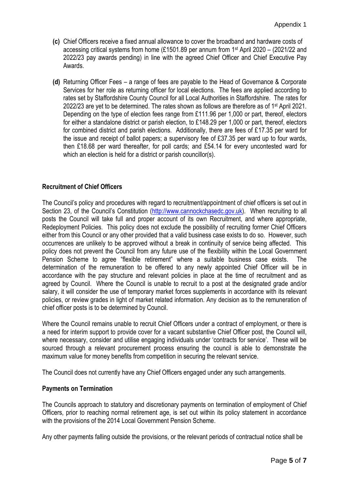- **(c)** Chief Officers receive a fixed annual allowance to cover the broadband and hardware costs of accessing critical systems from home (£1501.89 per annum from 1st April 2020 – (2021/22 and 2022/23 pay awards pending) in line with the agreed Chief Officer and Chief Executive Pay Awards.
- **(d)** Returning Officer Fees a range of fees are payable to the Head of Governance & Corporate Services for her role as returning officer for local elections. The fees are applied according to rates set by Staffordshire County Council for all Local Authorities in Staffordshire. The rates for 2022/23 are yet to be determined. The rates shown as follows are therefore as of 1 st April 2021. Depending on the type of election fees range from £111.96 per 1,000 or part, thereof, electors for either a standalone district or parish election, to £148.29 per 1,000 or part, thereof, electors for combined district and parish elections. Additionally, there are fees of £17.35 per ward for the issue and receipt of ballot papers; a supervisory fee of £37.35 per ward up to four wards, then £18.68 per ward thereafter, for poll cards; and £54.14 for every uncontested ward for which an election is held for a district or parish councillor(s).

### **Recruitment of Chief Officers**

The Council's policy and procedures with regard to recruitment/appointment of chief officers is set out in Section 23, of the Council's Constitution ([http://www.cannockchasedc.gov.uk\)](http://www.cannockchasedc.gov.uk/). When recruiting to all posts the Council will take full and proper account of its own Recruitment, and where appropriate, Redeployment Policies. This policy does not exclude the possibility of recruiting former Chief Officers either from this Council or any other provided that a valid business case exists to do so. However, such occurrences are unlikely to be approved without a break in continuity of service being affected. This policy does not prevent the Council from any future use of the flexibility within the Local Government Pension Scheme to agree "flexible retirement" where a suitable business case exists. The determination of the remuneration to be offered to any newly appointed Chief Officer will be in accordance with the pay structure and relevant policies in place at the time of recruitment and as agreed by Council. Where the Council is unable to recruit to a post at the designated grade and/or salary, it will consider the use of temporary market forces supplements in accordance with its relevant policies, or review grades in light of market related information. Any decision as to the remuneration of chief officer posts is to be determined by Council.

Where the Council remains unable to recruit Chief Officers under a contract of employment, or there is a need for interim support to provide cover for a vacant substantive Chief Officer post, the Council will, where necessary, consider and utilise engaging individuals under 'contracts for service'. These will be sourced through a relevant procurement process ensuring the council is able to demonstrate the maximum value for money benefits from competition in securing the relevant service.

The Council does not currently have any Chief Officers engaged under any such arrangements.

#### **Payments on Termination**

The Councils approach to statutory and discretionary payments on termination of employment of Chief Officers, prior to reaching normal retirement age, is set out within its policy statement in accordance with the provisions of the 2014 Local Government Pension Scheme.

Any other payments falling outside the provisions, or the relevant periods of contractual notice shall be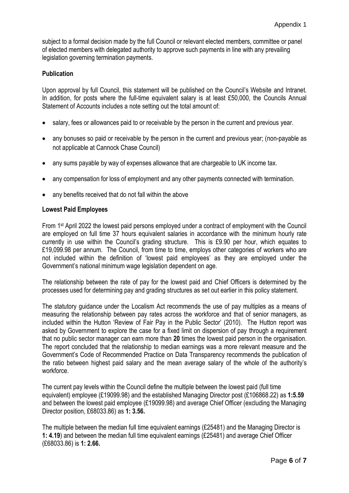subject to a formal decision made by the full Council or relevant elected members, committee or panel of elected members with delegated authority to approve such payments in line with any prevailing legislation governing termination payments.

## **Publication**

Upon approval by full Council, this statement will be published on the Council's Website and Intranet*.*  In addition, for posts where the full-time equivalent salary is at least £50,000, the Councils Annual Statement of Accounts includes a note setting out the total amount of:

- salary, fees or allowances paid to or receivable by the person in the current and previous year.
- any bonuses so paid or receivable by the person in the current and previous year; (non-payable as not applicable at Cannock Chase Council)
- any sums payable by way of expenses allowance that are chargeable to UK income tax.
- any compensation for loss of employment and any other payments connected with termination.
- any benefits received that do not fall within the above

#### **Lowest Paid Employees**

From 1st April 2022 the lowest paid persons employed under a contract of employment with the Council are employed on full time 37 hours equivalent salaries in accordance with the minimum hourly rate currently in use within the Council's grading structure. This is £9.90 per hour, which equates to £19,099.98 per annum. The Council, from time to time, employs other categories of workers who are not included within the definition of 'lowest paid employees' as they are employed under the Government's national minimum wage legislation dependent on age.

The relationship between the rate of pay for the lowest paid and Chief Officers is determined by the processes used for determining pay and grading structures as set out earlier in this policy statement.

The statutory guidance under the Localism Act recommends the use of pay multiples as a means of measuring the relationship between pay rates across the workforce and that of senior managers, as included within the Hutton 'Review of Fair Pay in the Public Sector' (2010). The Hutton report was asked by Government to explore the case for a fixed limit on dispersion of pay through a requirement that no public sector manager can earn more than **20** times the lowest paid person in the organisation. The report concluded that the relationship to median earnings was a more relevant measure and the Government's Code of Recommended Practice on Data Transparency recommends the publication of the ratio between highest paid salary and the mean average salary of the whole of the authority's workforce.

The current pay levels within the Council define the multiple between the lowest paid (full time equivalent) employee (£19099.98) and the established Managing Director post (£106868.22) as **1:5.59** and between the lowest paid employee (£19099.98) and average Chief Officer (excluding the Managing Director position, £68033.86) as **1: 3.56.**

The multiple between the median full time equivalent earnings (£25481) and the Managing Director is **1: 4.19**) and between the median full time equivalent earnings (£25481) and average Chief Officer (£68033.86) is **1: 2.66.**